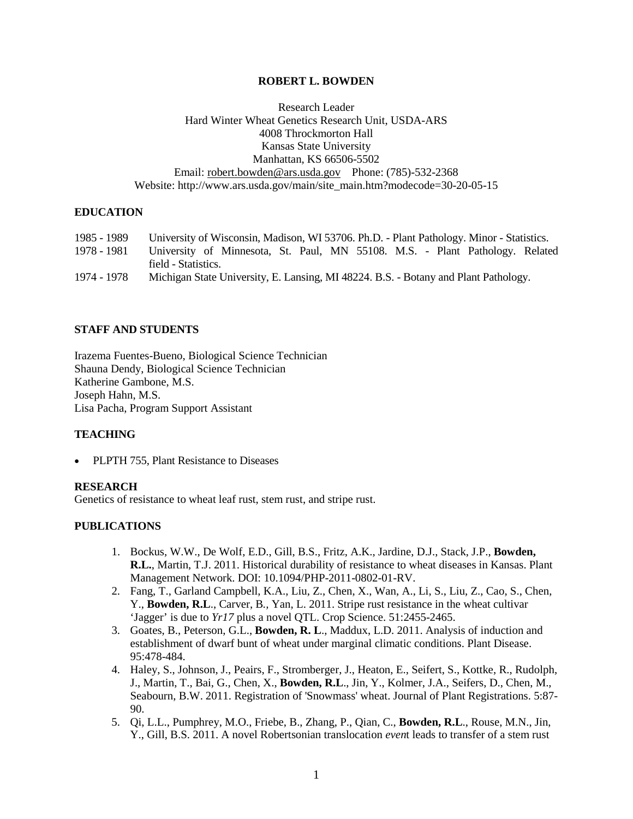# **ROBERT L. BOWDEN**

# Research Leader Hard Winter Wheat Genetics Research Unit, USDA-ARS 4008 Throckmorton Hall Kansas State University Manhattan, KS 66506-5502 Email: [robert.bowden@ars.usda.gov](mailto:robert.bowden@ars.usda.gov) Phone: (785)-532-2368 Website: http://www.ars.usda.gov/main/site\_main.htm?modecode=30-20-05-15

# **EDUCATION**

| 1985 - 1989 | University of Wisconsin, Madison, WI 53706. Ph.D. - Plant Pathology. Minor - Statistics. |
|-------------|------------------------------------------------------------------------------------------|
| 1978 - 1981 | University of Minnesota, St. Paul, MN 55108. M.S. - Plant Pathology. Related             |
|             | field - Statistics.                                                                      |
| 1974 - 1978 | Michigan State University, E. Lansing, MI 48224. B.S. - Botany and Plant Pathology.      |

#### **STAFF AND STUDENTS**

Irazema Fuentes-Bueno, Biological Science Technician Shauna Dendy, Biological Science Technician Katherine Gambone, M.S. Joseph Hahn, M.S. Lisa Pacha, Program Support Assistant

#### **TEACHING**

• PLPTH 755, Plant Resistance to Diseases

#### **RESEARCH**

Genetics of resistance to wheat leaf rust, stem rust, and stripe rust.

## **PUBLICATIONS**

- 1. Bockus, W.W., De Wolf, E.D., Gill, B.S., Fritz, A.K., Jardine, D.J., Stack, J.P., **Bowden, R.L.**, Martin, T.J. 2011. Historical durability of resistance to wheat diseases in Kansas. Plant Management Network. DOI: 10.1094/PHP-2011-0802-01-RV.
- 2. Fang, T., Garland Campbell, K.A., Liu, Z., Chen, X., Wan, A., Li, S., Liu, Z., Cao, S., Chen, Y., **Bowden, R.L**., Carver, B*.,* Yan, L. 2011. Stripe rust resistance in the wheat cultivar 'Jagger' is due to *Yr17* plus a novel QTL. Crop Science. 51:2455-2465.
- 3. Goates, B., Peterson, G.L., **Bowden, R. L**., Maddux, L.D. 2011. Analysis of induction and establishment of dwarf bunt of wheat under marginal climatic conditions. Plant Disease. 95:478-484.
- 4. Haley, S., Johnson, J., Peairs, F., Stromberger, J., Heaton, E., Seifert, S., Kottke, R., Rudolph, J., Martin, T., Bai, G., Chen, X., **Bowden, R.L**., Jin, Y., Kolmer, J.A., Seifers, D., Chen, M., Seabourn, B.W. 2011. Registration of 'Snowmass' wheat. Journal of Plant Registrations. 5:87- 90.
- 5. Qi, L.L., Pumphrey, M.O., Friebe, B., Zhang, P., Qian, C., **Bowden, R.L**., Rouse, M.N., Jin, Y., Gill, B.S. 2011. A novel Robertsonian translocation *even*t leads to transfer of a stem rust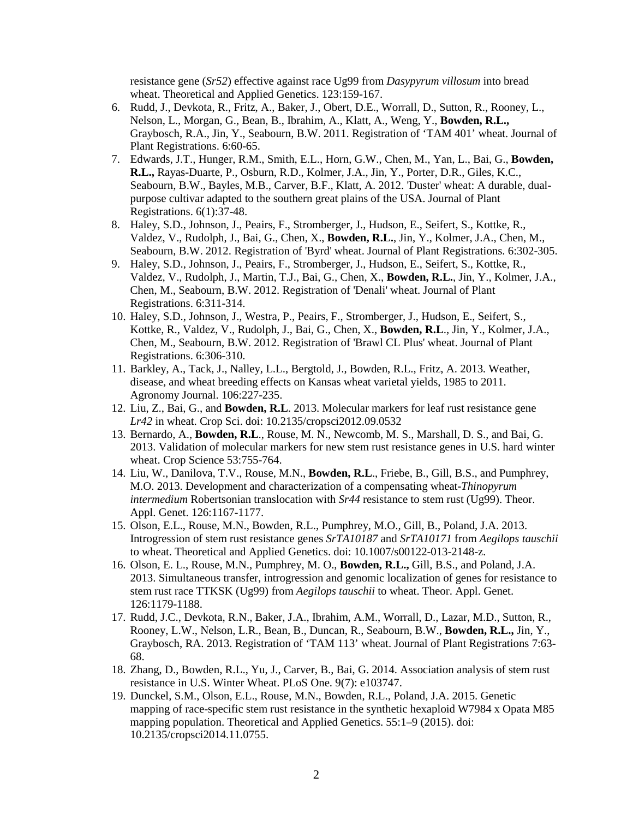resistance gene (*Sr52*) effective against race Ug99 from *Dasypyrum villosum* into bread wheat. Theoretical and Applied Genetics. 123:159-167.

- 6. Rudd, J., Devkota, R., Fritz, A., Baker, J., Obert, D.E., Worrall, D., Sutton, R., Rooney, L., Nelson, L., Morgan, G., Bean, B., Ibrahim, A., Klatt, A., Weng, Y., **Bowden, R.L.,** Graybosch, R.A., Jin, Y., Seabourn, B.W. 2011. Registration of 'TAM 401' wheat. Journal of Plant Registrations. 6:60-65.
- 7. Edwards, J.T., Hunger, R.M., Smith, E.L., Horn, G.W., Chen, M., Yan, L., Bai, G., **Bowden, R.L.,** Rayas-Duarte, P., Osburn, R.D., Kolmer, J.A., Jin, Y., Porter, D.R., Giles, K.C., Seabourn, B.W., Bayles, M.B., Carver, B.F., Klatt, A. 2012. 'Duster' wheat: A durable, dualpurpose cultivar adapted to the southern great plains of the USA. Journal of Plant Registrations. 6(1):37-48.
- 8. Haley, S.D., Johnson, J., Peairs, F., Stromberger, J., Hudson, E., Seifert, S., Kottke, R., Valdez, V., Rudolph, J., Bai, G., Chen, X., **Bowden, R.L.**, Jin, Y., Kolmer, J.A., Chen, M., Seabourn, B.W. 2012. Registration of 'Byrd' wheat. Journal of Plant Registrations. 6:302-305.
- 9. Haley, S.D., Johnson, J., Peairs, F., Stromberger, J., Hudson, E., Seifert, S., Kottke, R., Valdez, V., Rudolph, J., Martin, T.J., Bai, G., Chen, X., **Bowden, R.L.**, Jin, Y., Kolmer, J.A., Chen, M., Seabourn, B.W. 2012. Registration of 'Denali' wheat. Journal of Plant Registrations. 6:311-314.
- 10. Haley, S.D., Johnson, J., Westra, P., Peairs, F., Stromberger, J., Hudson, E., Seifert, S., Kottke, R., Valdez, V., Rudolph, J., Bai, G., Chen, X., **Bowden, R.L**., Jin, Y., Kolmer, J.A., Chen, M., Seabourn, B.W. 2012. Registration of 'Brawl CL Plus' wheat. Journal of Plant Registrations. 6:306-310.
- 11. Barkley, A., Tack, J., Nalley, L.L., Bergtold, J., Bowden, R.L., Fritz, A. 2013. Weather, disease, and wheat breeding effects on Kansas wheat varietal yields, 1985 to 2011. Agronomy Journal. 106:227-235.
- 12. Liu, Z., Bai, G., and **Bowden, R.L**. 2013. Molecular markers for leaf rust resistance gene *Lr42* in wheat. Crop Sci. doi: 10.2135/cropsci2012.09.0532
- 13. Bernardo, A., **Bowden, R.L**., Rouse, M. N., Newcomb, M. S., Marshall, D. S., and Bai, G. 2013. Validation of molecular markers for new stem rust resistance genes in U.S. hard winter wheat. Crop Science 53:755-764.
- 14. Liu, W., Danilova, T.V., Rouse, M.N., **Bowden, R.L**., Friebe, B., Gill, B.S., and Pumphrey, M.O. 2013. Development and characterization of a compensating wheat-*Thinopyrum intermedium* Robertsonian translocation with *Sr44* resistance to stem rust (Ug99). Theor. Appl. Genet. 126:1167-1177.
- 15. Olson, E.L., Rouse, M.N., Bowden, R.L., Pumphrey, M.O., Gill, B., Poland, J.A. 2013. Introgression of stem rust resistance genes *SrTA10187* and *SrTA10171* from *Aegilops tauschii* to wheat. Theoretical and Applied Genetics. doi: 10.1007/s00122-013-2148-z.
- 16. Olson, E. L., Rouse, M.N., Pumphrey, M. O., **Bowden, R.L.,** Gill, B.S., and Poland, J.A. 2013. Simultaneous transfer, introgression and genomic localization of genes for resistance to stem rust race TTKSK (Ug99) from *Aegilops tauschii* to wheat. Theor. Appl. Genet. 126:1179-1188.
- 17. [Rudd, J.C.](http://apps.webofknowledge.com/OneClickSearch.do?product=WOS&search_mode=OneClickSearch&colName=WOS&SID=2B@ehj@9Pl3m9GB58@6&field=AU&value=Rudd,%20JC), [Devkota, R.N.,](http://apps.webofknowledge.com/OneClickSearch.do?product=WOS&search_mode=OneClickSearch&colName=WOS&SID=2B@ehj@9Pl3m9GB58@6&field=AU&value=Devkota,%20RN) [Baker, J.A., Ibrahim, A.M.,](http://apps.webofknowledge.com/OneClickSearch.do?product=WOS&search_mode=OneClickSearch&colName=WOS&SID=2B@ehj@9Pl3m9GB58@6&field=AU&value=Baker,%20JA) [Worrall, D., Lazar, M.D.,](http://apps.webofknowledge.com/OneClickSearch.do?product=WOS&search_mode=OneClickSearch&colName=WOS&SID=2B@ehj@9Pl3m9GB58@6&field=AU&value=Worrall,%20D) [Sutton, R.,](http://apps.webofknowledge.com/OneClickSearch.do?product=WOS&search_mode=OneClickSearch&colName=WOS&SID=2B@ehj@9Pl3m9GB58@6&field=AU&value=Sutton,%20R)  [Rooney, L.W.](http://apps.webofknowledge.com/OneClickSearch.do?product=WOS&search_mode=OneClickSearch&colName=WOS&SID=2B@ehj@9Pl3m9GB58@6&field=AU&value=Rooney,%20LW), [Nelson, L.R.](http://apps.webofknowledge.com/OneClickSearch.do?product=WOS&search_mode=OneClickSearch&colName=WOS&SID=2B@ehj@9Pl3m9GB58@6&field=AU&value=Nelson,%20LR), [Bean, B., Duncan, R.,](http://apps.webofknowledge.com/OneClickSearch.do?product=WOS&search_mode=OneClickSearch&colName=WOS&SID=2B@ehj@9Pl3m9GB58@6&field=AU&value=Bean,%20B) [Seabourn, B.W.,](http://apps.webofknowledge.com/OneClickSearch.do?product=WOS&search_mode=OneClickSearch&colName=WOS&SID=2B@ehj@9Pl3m9GB58@6&field=AU&value=Seabourn,%20BW) **[Bowden, R.L.,](http://apps.webofknowledge.com/OneClickSearch.do?product=WOS&search_mode=OneClickSearch&colName=WOS&SID=2B@ehj@9Pl3m9GB58@6&field=AU&value=Seabourn,%20BW)** [Jin, Y.](http://apps.webofknowledge.com/OneClickSearch.do?product=WOS&search_mode=OneClickSearch&colName=WOS&SID=2B@ehj@9Pl3m9GB58@6&field=AU&value=Jin,%20Y), [Graybosch, RA. 2013. Registration of 'TAM 113' w](http://apps.webofknowledge.com/OneClickSearch.do?product=WOS&search_mode=OneClickSearch&colName=WOS&SID=2B@ehj@9Pl3m9GB58@6&field=AU&value=Graybosch,%20RA)heat. Journal of Plant Registrations 7:63- 68.
- 18. Zhang, D., Bowden, R.L., Yu, J., Carver, B., Bai, G. 2014. Association analysis of stem rust resistance in U.S. Winter Wheat. PLoS One. 9(7): e103747.
- 19. Dunckel, S.M., Olson, E.L., Rouse, M.N., Bowden, R.L., Poland, J.A. 2015. Genetic mapping of race-specific stem rust resistance in the synthetic hexaploid W7984 x Opata M85 mapping population. Theoretical and Applied Genetics. 55:1–9 (2015). doi: 10.2135/cropsci2014.11.0755.